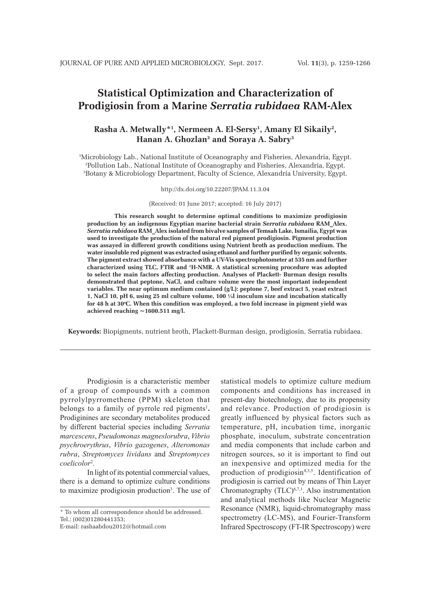# **Statistical Optimization and Characterization of Prodigiosin from a Marine** *Serratia rubidaea* **RAM-Alex**

# **Rasha A. Metwally\*1 , Nermeen A. El-Sersy1 , Amany El Sikaily2 , Hanan A. Ghozlan3 and Soraya A. Sabry3**

1 Microbiology Lab., National Institute of Oceanography and Fisheries, Alexandria, Egypt. 2 Pollution Lab., National Institute of Oceanography and Fisheries, Alexandria, Egypt. 3 Botany & Microbiology Department, Faculty of Science, Alexandria University, Egypt.

http://dx.doi.org/10.22207/JPAM.11.3.04

(Received: 01 June 2017; accepted: 16 July 2017)

**This research sought to determine optimal conditions to maximize prodigiosin production by an indigenous Egyptian marine bacterial strain** *Serratia rubidaea* **RAM\_Alex.**  *Serratia rubidaea* **RAM\_Alex isolated from bivalve samples of Temsah Lake, Ismailia, Egypt was used to investigate the production of the natural red pigment prodigiosin. Pigment production was assayed in different growth conditions using Nutrient broth as production medium. The water insoluble red pigment was extracted using ethanol and further purified by organic solvents. The pigment extract showed absorbance with a UV-Vis spectrophotometer at 535 nm and further characterized using TLC, FTIR and 1 H-NMR. A statistical screening procedure was adopted to select the main factors affecting production. Analyses of Plackett- Burman design results demonstrated that peptone, NaCl, and culture volume were the most important independent variables. The near optimum medium contained (g/L): peptone 7, beef extract 5, yeast extract 1, NaCl 10, pH 6, using 25 ml culture volume, 100 ¼l inoculum size and incubation statically**  for 48 h at 30°C. When this condition was employed, a two fold increase in pigment yield was **achieved reaching ~1600.511 mg/l.**

**Keywords:** Biopigments, nutrient broth, Plackett-Burman design, prodigiosin, Serratia rubidaea.

Prodigiosin is a characteristic member of a group of compounds with a common pyrrolylpyrromethene (PPM) skeleton that belongs to a family of pyrrole red pigments<sup>1</sup>. Prodiginines are secondary metabolites produced by different bacterial species including *Serratia marcescens*, *Pseudomonas magneslorubra*, *Vibrio psychroerythrus*, *Vibrio gazogenes*, *Alteromonas rubra*, *Streptomyces lividans* and *Streptomyces coelicolor*<sup>2</sup> *.*

In light of its potential commercial values, there is a demand to optimize culture conditions to maximize prodigiosin production<sup>3</sup>. The use of

E-mail: rashaabdou2012@hotmail.com

statistical models to optimize culture medium components and conditions has increased in present-day biotechnology, due to its propensity and relevance. Production of prodigiosin is greatly influenced by physical factors such as temperature, pH, incubation time, inorganic phosphate, inoculum, substrate concentration and media components that include carbon and nitrogen sources, so it is important to find out an inexpensive and optimized media for the production of prodigiosin<sup>4,3,5</sup>. Identification of prodigiosin is carried out by means of Thin Layer Chromatography (TLC)<sup>6,7,1</sup>. Also instrumentation and analytical methods like Nuclear Magnetic Resonance (NMR), liquid-chromatography mass spectrometry (LC-MS), and Fourier-Transform Infrared Spectroscopy (FT-IR Spectroscopy) were

<sup>\*</sup> To whom all correspondence should be addressed. Tel.: (002)01280441353;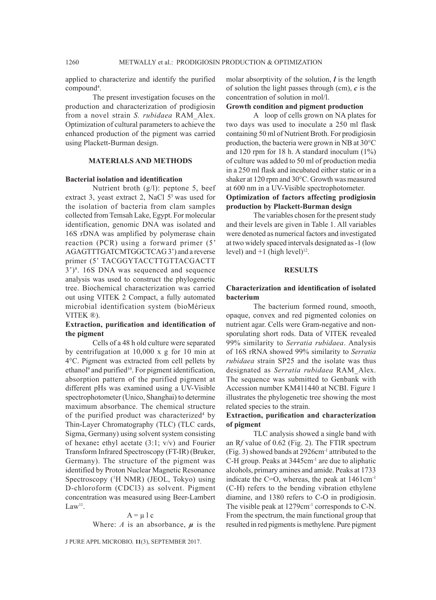applied to characterize and identify the purified compound<sup>4</sup>.

The present investigation focuses on the production and characterization of prodigiosin from a novel strain *S. rubidaea* RAM\_Alex. Optimization of cultural parameters to achieve the enhanced production of the pigment was carried using Plackett-Burman design.

## **MATERIALS AND METHODS**

#### **Bacterial isolation and identification**

Nutrient broth (g/l): peptone 5, beef extract 3, yeast extract 2, NaCl  $5<sup>5</sup>$  was used for the isolation of bacteria from clam samples collected from Temsah Lake, Egypt. For molecular identification, genomic DNA was isolated and 16S rDNA was amplified by polymerase chain reaction (PCR) using a forward primer (5' AGAGTTTGATCMTGGCTCAG 3') and a reverse primer (5' TACGGYTACCTTGTTACGACTT  $3^{\prime})^8$ . 16S DNA was sequenced and sequence analysis was used to construct the phylogenetic tree. Biochemical characterization was carried out using VITEK 2 Compact, a fully automated microbial identification system (bioMérieux VITEK ®).

# **Extraction, purification and identification of the pigment**

Cells of a 48 h old culture were separated by centrifugation at 10,000 x g for 10 min at 4°C. Pigment was extracted from cell pellets by ethanol<sup>9</sup> and purified<sup>10</sup>. For pigment identification, absorption pattern of the purified pigment at different pHs was examined using a UV-Visible spectrophotometer (Unico, Shanghai) to determine maximum absorbance. The chemical structure of the purified product was characterized<sup>4</sup> by Thin-Layer Chromatography (TLC) (TLC cards, Sigma, Germany) using solvent system consisting of hexane**:** ethyl acetate (3:1; v/v) and Fourier Transform Infrared Spectroscopy (FT-IR) (Bruker, Germany). The structure of the pigment was identified by Proton Nuclear Magnetic Resonance Spectroscopy (1 H NMR) (JEOL, Tokyo) using D-chloroform (CDCl3) as solvent. Pigment concentration was measured using Beer-Lambert  $Law<sup>11</sup>$ .

#### $A = \mu l c$

Where:  $A$  is an absorbance,  $\mu$  is the

J PURE APPL MICROBIO*,* **11**(3), SEPTEMBER 2017.

molar absorptivity of the solution, *l* is the length of solution the light passes through (cm), *c* is the concentration of solution in mol/l.

## **Growth condition and pigment production**

A loop of cells grown on NA plates for two days was used to inoculate a 250 ml flask containing 50 ml of Nutrient Broth. For prodigiosin production, the bacteria were grown in NB at 30°C and 120 rpm for 18 h. A standard inoculum (1%) of culture was added to 50 ml of production media in a 250 ml flask and incubated either static or in a shaker at 120 rpm and 30°C. Growth was measured at 600 nm in a UV-Visible spectrophotometer. **Optimization of factors affecting prodigiosin** 

# **production by Plackett-Burman design**

The variables chosen for the present study and their levels are given in Table 1. All variables were denoted as numerical factors and investigated at two widely spaced intervals designated as -1 (low level) and  $+1$  (high level)<sup>12</sup>.

#### **RESULTS**

# **Characterization and identification of isolated bacterium**

The bacterium formed round, smooth, opaque, convex and red pigmented colonies on nutrient agar. Cells were Gram-negative and nonsporulating short rods. Data of VITEK revealed 99% similarity to *Serratia rubidaea*. Analysis of 16S rRNA showed 99% similarity to *Serratia rubidaea* strain SP25 and the isolate was thus designated as *Serratia rubidaea* RAM\_Alex. The sequence was submitted to Genbank with Accession number KM411440 at NCBI. Figure 1 illustrates the phylogenetic tree showing the most related species to the strain.

## **Extraction, purification and characterization of pigment**

TLC analysis showed a single band with an R*f* value of 0.62 (Fig. 2). The FTIR spectrum (Fig. 3) showed bands at 2926cm-1 attributed to the C-H group. Peaks at 3445cm-1 are due to aliphatic alcohols, primary amines and amide. Peaks at 1733 indicate the C=O, whereas, the peak at  $1461 \text{cm}^{-1}$ (C-H) refers to the bending vibration ethylene diamine, and 1380 refers to C-O in prodigiosin. The visible peak at 1279cm<sup>-1</sup> corresponds to C-N. From the spectrum, the main functional group that resulted in red pigments is methylene. Pure pigment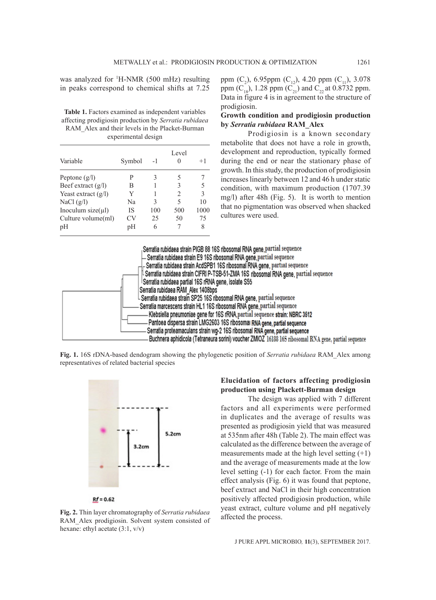was analyzed for 1 H-NMR (500 mHz) resulting in peaks correspond to chemical shifts at 7.25

Table 1. Factors examined as independent variables affecting prodigiosin production by *Serratia rubidaea*  RAM\_Alex and their levels in the Placket-Burman experimental design

| Variable               | Symbol | $-1$ | Level | $+1$ |
|------------------------|--------|------|-------|------|
| Peptone $(g/l)$        | P      |      | 5     |      |
| Beef extract $(g/l)$   | В      |      | 3     |      |
| Yeast extract $(g/l)$  | Y      |      | 2     | 3    |
| NaCl $(g/l)$           | Na     | 3    | 5     | 10   |
| Inoculum $size(\mu l)$ | IS     | 100  | 500   | 1000 |
| Culture volume(ml)     | CV     | 25   | 50    | 75   |
| pH                     | pH     | 6    |       |      |

ppm  $(C_2)$ , 6.95ppm  $(C_{12})$ , 4.20 ppm  $(C_{11})$ , 3.078 ppm  $(C_{18})$ , 1.28 ppm  $(C_{21})$  and  $C_{22}$  at 0.8732 ppm. Data in figure 4 is in agreement to the structure of prodigiosin.

## **Growth condition and prodigiosin production by** *Serratia rubidaea* **RAM\_Alex**

Prodigiosin is a known secondary metabolite that does not have a role in growth, development and reproduction, typically formed during the end or near the stationary phase of growth. In this study, the production of prodigiosin increases linearly between 12 and 46 h under static condition, with maximum production (1707.39 mg/l) after 48h (Fig. 5). It is worth to mention that no pigmentation was observed when shacked cultures were used.

| Serratia rubidaea strain PIGB 88 16S ribosomal RNA gene, partial sequence                            |
|------------------------------------------------------------------------------------------------------|
| $\mathrel{\rule{0pt}{0pt}{=}}$ Serratia rubidaea strain E9 16S ribosomal RNA gene,partial sequence   |
| – Serratia rubidaea strain AcdSPB1 16S ribosomal RNA gene, partual sequence                          |
| L Serratia rubidaea strain CIFRI P-TSB-51-ZMA 16S ribosomal RNA gene, partial sequence               |
| Serratia rubidaea partial 16S rRNA gene, isolate S55                                                 |
| Serratia rubidaea RAM Alex 1408bps                                                                   |
| L Serratia rubidaea strain SP25 16S ribosomal RNA gene, partial sequence                             |
| Serratia marcescens strain HL1 16S ribosomal RNA gene, partial sequence                              |
| Klebsiella pneumoniae gene for 16S rRNA, partial sequence strain: NBRC 3512                          |
| Pantoea dispersa strain LMG2603 16S ribosomal RNA gene, partial sequence                             |
| Serratia proteamaculans strain wg-2 16S ribosomal RNA gene, partial sequence                         |
| Buchnera aphidicola (Tetraneura sorini) voucher ZMIOZ 16188 16S ribosomal RNA gene, partial sequence |

**Fig. 1.** 16S rDNA-based dendogram showing the phylogenetic position of *Serratia rubidaea* RAM\_Alex among representatives of related bacterial species



#### $Rf = 0.62$

**Fig. 2.** Thin layer chromatography of *Serratia rubidaea*  RAM\_Alex prodigiosin. Solvent system consisted of hexane: ethyl acetate (3:1, v/v)

# **Elucidation of factors affecting prodigiosin production using Plackett-Burman design**

The design was applied with 7 different factors and all experiments were performed in duplicates and the average of results was presented as prodigiosin yield that was measured at 535nm after 48h (Table 2). The main effect was calculated as the difference between the average of measurements made at the high level setting  $(+1)$ and the average of measurements made at the low level setting (-1) for each factor. From the main effect analysis (Fig. 6) it was found that peptone, beef extract and NaCl in their high concentration positively affected prodigiosin production, while yeast extract, culture volume and pH negatively affected the process.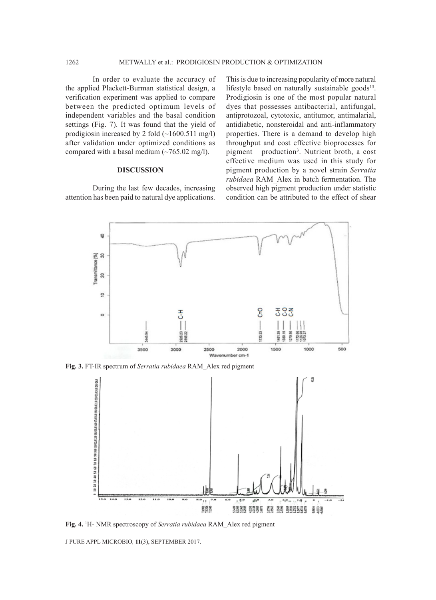In order to evaluate the accuracy of the applied Plackett-Burman statistical design, a verification experiment was applied to compare between the predicted optimum levels of independent variables and the basal condition settings (Fig. 7). It was found that the yield of prodigiosin increased by 2 fold  $(\sim1600.511 \text{ mg/l})$ after validation under optimized conditions as compared with a basal medium  $(\sim 765.02 \text{ mg/l})$ .

#### **DISCUSSION**

During the last few decades, increasing attention has been paid to natural dye applications.

This is due to increasing popularity of more natural lifestyle based on naturally sustainable goods $13$ . Prodigiosin is one of the most popular natural dyes that possesses antibacterial, antifungal, antiprotozoal, cytotoxic, antitumor, antimalarial, antidiabetic, nonsteroidal and anti-inflammatory properties. There is a demand to develop high throughput and cost effective bioprocesses for pigment production3 . Nutrient broth, a cost effective medium was used in this study for pigment production by a novel strain *Serratia rubidaea* RAM\_Alex in batch fermentation. The observed high pigment production under statistic condition can be attributed to the effect of shear



**Fig. 3.** FT-IR spectrum of *Serratia rubidaea* RAM\_Alex red pigment



**Fig. 4.** <sup>1</sup> H- NMR spectroscopy of *Serratia rubidaea* RAM\_Alex red pigment

J PURE APPL MICROBIO*,* **11**(3), SEPTEMBER 2017.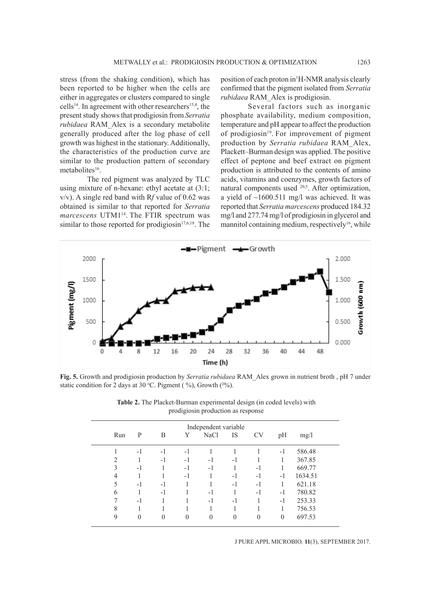stress (from the shaking condition), which has been reported to be higher when the cells are either in aggregates or clusters compared to single cells<sup>14</sup>. In agreement with other researchers<sup>15,4</sup>, the present study shows that prodigiosin from *Serratia rubidaea* RAM\_Alex is a secondary metabolite generally produced after the log phase of cell growth was highest in the stationary. Additionally, the characteristics of the production curve are similar to the production pattern of secondary metabolites<sup>16</sup>.

The red pigment was analyzed by TLC using mixture of n-hexane: ethyl acetate at (3:1; v/v). A single red band with R*f* value of 0.62 was obtained is similar to that reported for *Serratia marcescens* UTM114. The FTIR spectrum was similar to those reported for prodigiosin<sup>17,6,18</sup>. The

position of each proton in<sup>1</sup>H-NMR analysis clearly confirmed that the pigment isolated from *Serratia rubidaea* RAM\_Alex is prodigiosin.

Several factors such as inorganic phosphate availability, medium composition, temperature and pH appear to affect the production of prodigiosin<sup>19</sup>. For improvement of pigment production by *Serratia rubidaea* RAM\_Alex, Plackett–Burman design was applied. The positive effect of peptone and beef extract on pigment production is attributed to the contents of amino acids, vitamins and coenzymes, growth factors of natural components used <sup>20,5</sup>. After optimization, a yield of  $\sim$ 1600.511 mg/l was achieved. It was reported that *Serratia marcescens* produced 184.32 mg/l and 277.74 mg/l of prodigiosin in glycerol and mannitol containing medium, respectively<sup>16</sup>, while



**Fig. 5.** Growth and prodigiosin production by *Serratia rubidaea* RAM\_Alex grown in nutrient broth , pH 7 under static condition for 2 days at 30 °C. Pigment ( $\%$ ), Growth ( $\frac{2\%}{6}$ ).

| Independent variable |     |                |          |          |                |          |           |                |         |  |
|----------------------|-----|----------------|----------|----------|----------------|----------|-----------|----------------|---------|--|
|                      | Run | P              | B        | Y        | <b>NaCl</b>    | IS       | <b>CV</b> | pH             | mg/l    |  |
|                      |     | $-1$           | $-1$     | $-1$     |                |          |           | $-1$           | 586.48  |  |
|                      | 2   |                | $-1$     | $-1$     | $-1$           | $-1$     |           | 1              | 367.85  |  |
|                      | 3   | $-1$           |          | $-1$     | $-1$           |          | -1        |                | 669.77  |  |
|                      | 4   |                |          | $-1$     |                | $-1$     | $-1$      | $-1$           | 1634.51 |  |
|                      | 5   | $-1$           | $-1$     |          |                | $-1$     | $-1$      |                | 621.18  |  |
|                      | 6   |                | $-1$     |          | $-1$           |          | $-1$      | $-1$           | 780.82  |  |
|                      |     | $-1$           |          |          | $-1$           | $-1$     |           | $-1$           | 253.33  |  |
|                      | 8   |                |          |          |                |          |           |                | 756.53  |  |
|                      | 9   | $\overline{0}$ | $\theta$ | $\theta$ | $\overline{0}$ | $\Omega$ | $\theta$  | $\overline{0}$ | 697.53  |  |
|                      |     |                |          |          |                |          |           |                |         |  |

**Table 2.** The Placket-Burman experimental design (in coded levels) with prodigiosin production as response

J PURE APPL MICROBIO*,* **11**(3), SEPTEMBER 2017.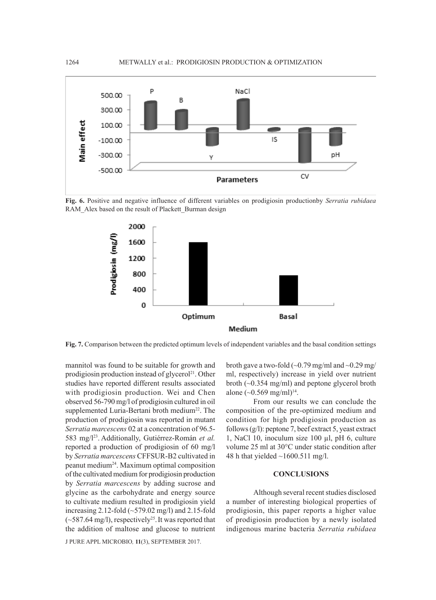

**Fig. 6.** Positive and negative influence of different variables on prodigiosin productionby *Serratia rubidaea*  RAM\_Alex based on the result of Plackett\_Burman design



**Fig. 7.** Comparison between the predicted optimum levels of independent variables and the basal condition settings

mannitol was found to be suitable for growth and prodigiosin production instead of glycerol<sup>21</sup>. Other studies have reported different results associated with prodigiosin production. Wei and Chen observed 56-790 mg/l of prodigiosin cultured in oil supplemented Luria-Bertani broth medium<sup>22</sup>. The production of prodigiosin was reported in mutant *Serratia marcescens* 02 at a concentration of 96.5- 583 mg/l23. Additionally, Gutiérrez-Román *et al.* reported a production of prodigiosin of 60 mg/l by *Serratia marcescens* CFFSUR-B2 cultivated in peanut medium24. Maximum optimal composition of the cultivated medium for prodigiosin production by *Serratia marcescens* by adding sucrose and glycine as the carbohydrate and energy source to cultivate medium resulted in prodigiosin yield increasing 2.12-fold  $(\sim 579.02 \text{ mg/l})$  and 2.15-fold  $(-587.64 \text{ mg/l})$ , respectively<sup>25</sup>. It was reported that the addition of maltose and glucose to nutrient

J PURE APPL MICROBIO*,* **11**(3), SEPTEMBER 2017.

broth gave a two-fold  $\left(\sim 0.79 \text{ mg/ml} \text{ and } \sim 0.29 \text{ mg/} \right)$ ml, respectively) increase in yield over nutrient broth (~0.354 mg/ml) and peptone glycerol broth alone  $({\sim}0.569 \text{ mg/ml})^{14}$ .

From our results we can conclude the composition of the pre-optimized medium and condition for high prodigiosin production as follows (g/l): peptone 7, beef extract 5, yeast extract 1, NaCl 10, inoculum size 100 µl, pH 6, culture volume 25 ml at 30°C under static condition after 48 h that yielded  $\sim$ 1600.511 mg/l.

#### **CONCLUSIONS**

Although several recent studies disclosed a number of interesting biological properties of prodigiosin, this paper reports a higher value of prodigiosin production by a newly isolated indigenous marine bacteria *Serratia rubidaea*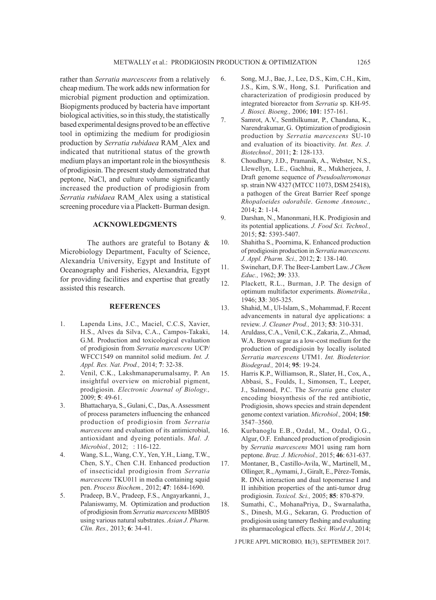rather than *Serratia marcescens* from a relatively cheap medium. The work adds new information for microbial pigment production and optimization. Biopigments produced by bacteria have important biological activities, so in this study, the statistically based experimental designs proved to be an effective tool in optimizing the medium for prodigiosin production by *Serratia rubidaea* RAM\_Alex and indicated that nutritional status of the growth medium plays an important role in the biosynthesis of prodigiosin. The present study demonstrated that peptone, NaCl, and culture volume significantly increased the production of prodigiosin from *Serratia rubidaea* RAM\_Alex using a statistical screening procedure via a Plackett- Burman design.

# **ACKNOWLEDGMENTS**

The authors are grateful to Botany & Microbiology Department, Faculty of Science, Alexandria University, Egypt and Institute of Oceanography and Fisheries, Alexandria, Egypt for providing facilities and expertise that greatly assisted this research.

#### **REFERENCES**

- 1. Lapenda Lins, J.C., Maciel, C.C.S, Xavier, H.S., Alves da Silva, C.A., Campos-Takaki, G.M. Production and toxicological evaluation of prodigiosin from *Serratia marcescens* UCP/ WFCC1549 on mannitol solid medium. *Int. J. Appl. Res. Nat. Prod.,* 2014; **7**: 32-38.
- 2. Venil, C.K., Lakshmanaperumalsamy, P. An insightful overview on microbial pigment, prodigiosin. *Electronic Journal of Biology.,*  2009; **5**: 49-61.
- 3. Bhattacharya, S., Gulani, C., Das, A. Assessment of process parameters influencing the enhanced production of prodigiosin from *Serratia marcescens* and evaluation of its antimicrobial, antioxidant and dyeing potentials. *Mal. J. Microbiol.,* 2012; : 116-122.
- 4. Wang, S.L., Wang, C.Y., Yen, Y.H., Liang, T.W., Chen, S.Y., Chen C.H. Enhanced production of insecticidal prodigiosin from *Serratia marcescens* TKU011 in media containing squid pen. *Process Biochem.,* 2012; **47**: 1684-1690.
- 5. Pradeep, B.V., Pradeep, F.S., Angayarkanni, J., Palaniswamy, M. Optimization and production of prodigiosin from *Serratia marcescens* MBB05 using various natural substrates. *Asian J. Pharm. Clin. Res.,* 2013; **6**: 34-41.
- 6. Song, M.J., Bae, J., Lee, D.S., Kim, C.H., Kim, J.S., Kim, S.W., Hong, S.I. Purification and characterization of prodigiosin produced by integrated bioreactor from *Serratia* sp. KH-95. *J. Biosci. Bioeng.,* 2006; **101**: 157-161.
- 7. Samrot, A.V., Senthilkumar, P., Chandana, K., Narendrakumar, G. Optimization of prodigiosin production by *Serratia marcescens* SU-10 and evaluation of its bioactivity. *Int. Res. J. Biotechnol.,* 2011; **2**: 128-133.
- 8. Choudhury, J.D., Pramanik, A., Webster, N.S., Llewellyn, L.E., Gachhui, R., Mukherjeea, J. Draft genome sequence of *Pseudoalteromonas* sp. strain NW 4327 (MTCC 11073, DSM 25418), a pathogen of the Great Barrier Reef sponge *Rhopaloeides odorabile*. *Genome Announc.,*  2014; **2**: 1-14.
- 9. Darshan, N., Manonmani, H.K. Prodigiosin and its potential applications. *J. Food Sci. Technol.,*  2015; **52**: 5393-5407.
- 10. Shahitha S., Poornima, K. Enhanced production of prodigiosin production in *Serratia marcescens. J. Appl. Pharm. Sci.,* 2012; **2**: 138-140.
- 11. Swinehart, D.F. The Beer-Lambert Law. *J Chem Educ.,* 1962; **39**: 333.
- 12. Plackett, R.L., Burman, J.P. The design of optimum multifactor experiments. *Biometrika.,*  1946; **33**: 305-325.
- 13. Shahid, M., Ul-Islam, S., Mohammad, F. Recent advancements in natural dye applications: a review. *J. Cleaner Prod.,* 2013; **53**: 310-331.
- 14. Aruldass, C.A., Venil, C.K., Zakaria, Z., Ahmad, W.A. Brown sugar as a low-cost medium for the production of prodigiosin by locally isolated *Serratia marcescens* UTM1. *Int. Biodeterior. Biodegrad.,* 2014; **95**: 19-24.
- 15. Harris K.P., Williamson, R., Slater, H., Cox, A., Abbasi, S., Foulds, I., Simonsen, T., Leeper, J., Salmond, P.C. The *Serratia* gene cluster encoding biosynthesis of the red antibiotic, Prodigiosin, shows species and strain dependent genome context variation. *Microbiol.,* 2004; **150**: 3547–3560.
- 16. Kurbanoglu E.B., Ozdal, M., Ozdal, O.G., Algur, O.F. Enhanced production of prodigiosin by *Serratia marcescens* MO1 using ram horn peptone. *Braz. J. Microbiol.,* 2015; **46**: 631-637.
- 17. Montaner, B., Castillo-Avila, W., Martinell, M., Ollinger, R., Aymami, J., Giralt, E., Pérez-Tomás, R. DNA interaction and dual topomerase I and II inhibition properties of the anti-tumor drug prodigiosin. *Toxicol. Sci.,* 2005; **85**: 870-879.
- 18. Sumathi, C., MohanaPriya, D., Swarnalatha, S., Dinesh, M.G., Sekaran, G. Production of prodigiosin using tannery fleshing and evaluating its pharmacological effects. *Sci. World J.,* 2014;

J PURE APPL MICROBIO*,* **11**(3), SEPTEMBER 2017.